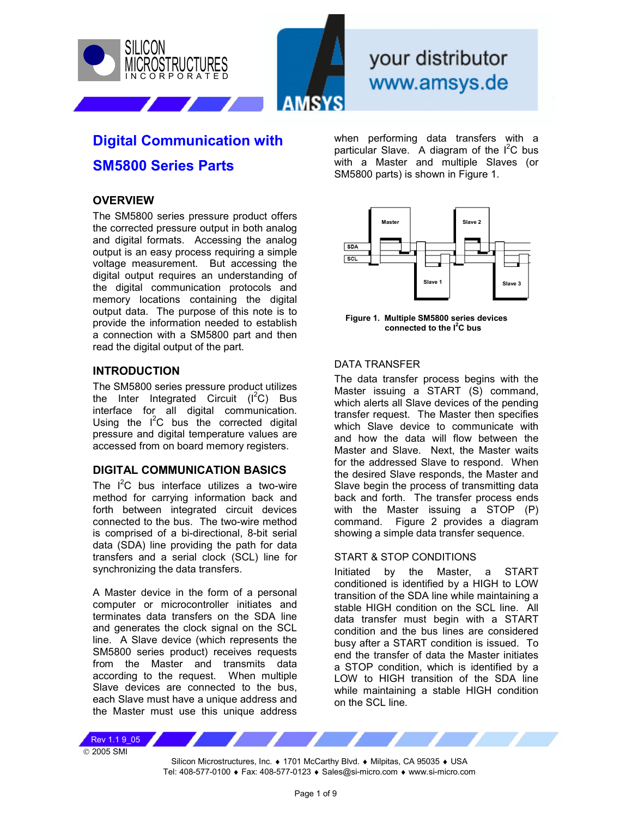



 $H \cap r$ **Notes for Digital Communication with SM5800 Series Parts** www.amsys.de

# **Digital Communication with SM5800 Series Parts**

### **OVERVIEW**

The SM5800 series pressure product offers the corrected pressure output in both analog and digital formats. Accessing the analog output is an easy process requiring a simple voltage measurement. But accessing the digital output requires an understanding of the digital communication protocols and memory locations containing the digital output data. The purpose of this note is to provide the information needed to establish a connection with a SM5800 part and then read the digital output of the part.

#### **INTRODUCTION**

The SM5800 series pressure product utilizes the Inter Integrated Circuit  $(I<sup>2</sup>C)$  Bus interface for all digital communication. Using the  $I^2C$  bus the corrected digital pressure and digital temperature values are accessed from on board memory registers.

#### **DIGITAL COMMUNICATION BASICS**

The  $I^2C$  bus interface utilizes a two-wire method for carrying information back and forth between integrated circuit devices connected to the bus. The two-wire method is comprised of a bi-directional, 8-bit serial data (SDA) line providing the path for data transfers and a serial clock (SCL) line for synchronizing the data transfers.

A Master device in the form of a personal computer or microcontroller initiates and terminates data transfers on the SDA line and generates the clock signal on the SCL line. A Slave device (which represents the SM5800 series product) receives requests from the Master and transmits data according to the request. When multiple Slave devices are connected to the bus, each Slave must have a unique address and the Master must use this unique address

when performing data transfers with a particular Slave. A diagram of the  $I^2C$  bus with a Master and multiple Slaves (or SM5800 parts) is shown in Figure 1.



**Figure 1. Multiple SM5800 series devices connected to the I<sup>2</sup> C bus** 

#### DATA TRANSFER

The data transfer process begins with the Master issuing a START (S) command, which alerts all Slave devices of the pending transfer request. The Master then specifies which Slave device to communicate with and how the data will flow between the Master and Slave. Next, the Master waits for the addressed Slave to respond. When the desired Slave responds, the Master and Slave begin the process of transmitting data back and forth. The transfer process ends with the Master issuing a STOP (P) command. Figure 2 provides a diagram showing a simple data transfer sequence.

#### START & STOP CONDITIONS

Initiated by the Master, a START conditioned is identified by a HIGH to LOW transition of the SDA line while maintaining a stable HIGH condition on the SCL line. All data transfer must begin with a START condition and the bus lines are considered busy after a START condition is issued. To end the transfer of data the Master initiates a STOP condition, which is identified by a LOW to HIGH transition of the SDA line while maintaining a stable HIGH condition on the SCL line.

© 2005 SMI Rev 1.1 9\_05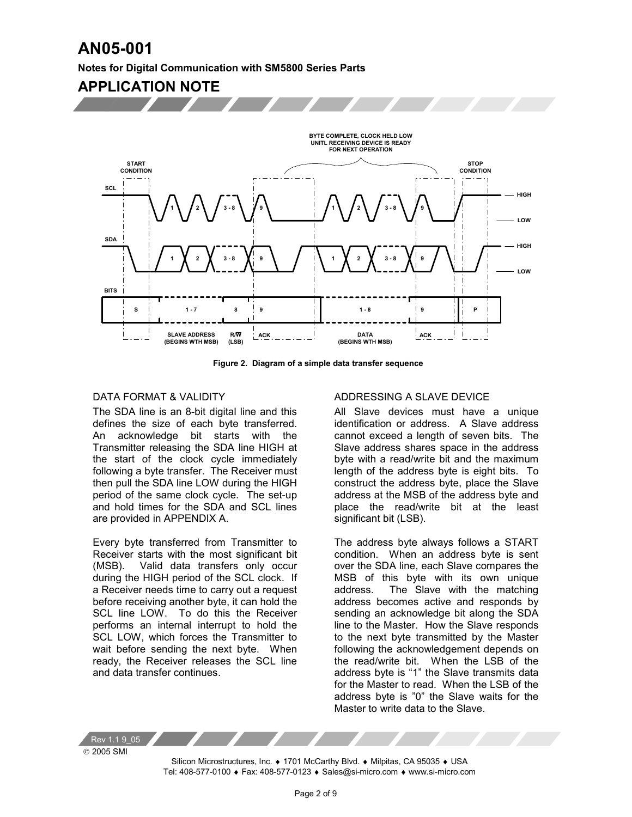**Notes for Digital Communication with SM5800 Series Parts** 

## **APPLICATION NOTE**



**Figure 2. Diagram of a simple data transfer sequence** 

#### DATA FORMAT & VALIDITY

The SDA line is an 8-bit digital line and this defines the size of each byte transferred. An acknowledge bit starts with the Transmitter releasing the SDA line HIGH at the start of the clock cycle immediately following a byte transfer. The Receiver must then pull the SDA line LOW during the HIGH period of the same clock cycle. The set-up and hold times for the SDA and SCL lines are provided in APPENDIX A.

Every byte transferred from Transmitter to Receiver starts with the most significant bit (MSB). Valid data transfers only occur during the HIGH period of the SCL clock. If a Receiver needs time to carry out a request before receiving another byte, it can hold the SCL line LOW. To do this the Receiver performs an internal interrupt to hold the SCL LOW, which forces the Transmitter to wait before sending the next byte. When ready, the Receiver releases the SCL line and data transfer continues.

#### ADDRESSING A SLAVE DEVICE

All Slave devices must have a unique identification or address. A Slave address cannot exceed a length of seven bits. The Slave address shares space in the address byte with a read/write bit and the maximum length of the address byte is eight bits. To construct the address byte, place the Slave address at the MSB of the address byte and place the read/write bit at the least significant bit (LSB).

The address byte always follows a START condition. When an address byte is sent over the SDA line, each Slave compares the MSB of this byte with its own unique address. The Slave with the matching address becomes active and responds by sending an acknowledge bit along the SDA line to the Master. How the Slave responds to the next byte transmitted by the Master following the acknowledgement depends on the read/write bit. When the LSB of the address byte is "1" the Slave transmits data for the Master to read. When the LSB of the address byte is "0" the Slave waits for the Master to write data to the Slave.

 2005 SMI Rev 1.1 9\_05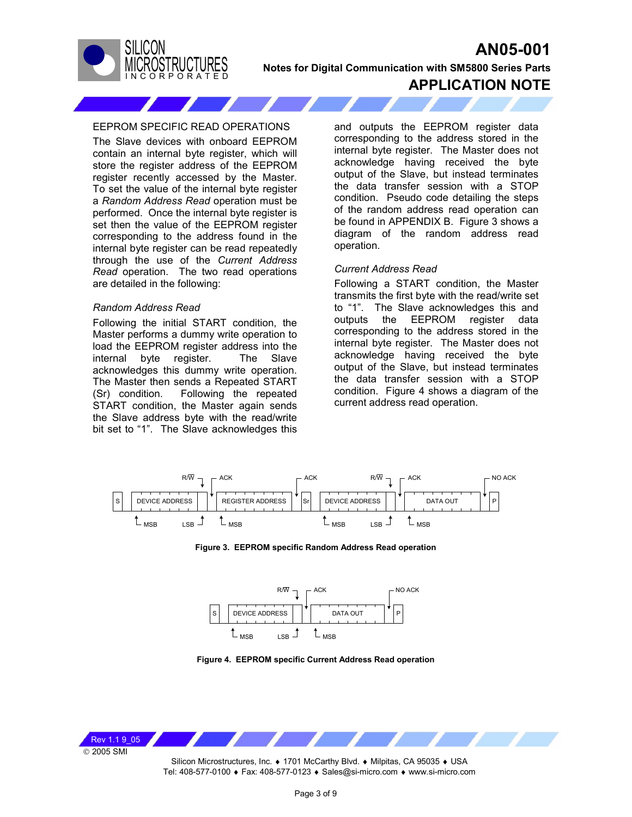

**Notes for Digital Communication with SM5800 Series Parts**

### **APPLICATION NOTE**

#### EEPROM SPECIFIC READ OPERATIONS

The Slave devices with onboard EEPROM contain an internal byte register, which will store the register address of the EEPROM register recently accessed by the Master. To set the value of the internal byte register a *Random Address Read* operation must be performed. Once the internal byte register is set then the value of the EEPROM register corresponding to the address found in the internal byte register can be read repeatedly through the use of the *Current Address Read* operation. The two read operations are detailed in the following:

#### *Random Address Read*

Following the initial START condition, the Master performs a dummy write operation to load the EEPROM register address into the internal byte register. The Slave acknowledges this dummy write operation. The Master then sends a Repeated START (Sr) condition. Following the repeated START condition, the Master again sends the Slave address byte with the read/write bit set to "1". The Slave acknowledges this and outputs the EEPROM register data corresponding to the address stored in the internal byte register. The Master does not acknowledge having received the byte output of the Slave, but instead terminates the data transfer session with a STOP condition. Pseudo code detailing the steps of the random address read operation can be found in APPENDIX B. Figure 3 shows a diagram of the random address read operation.

#### *Current Address Read*

Following a START condition, the Master transmits the first byte with the read/write set to "1". The Slave acknowledges this and outputs the EEPROM register data corresponding to the address stored in the internal byte register. The Master does not acknowledge having received the byte output of the Slave, but instead terminates the data transfer session with a STOP condition. Figure 4 shows a diagram of the current address read operation.







**Figure 4. EEPROM specific Current Address Read operation** 

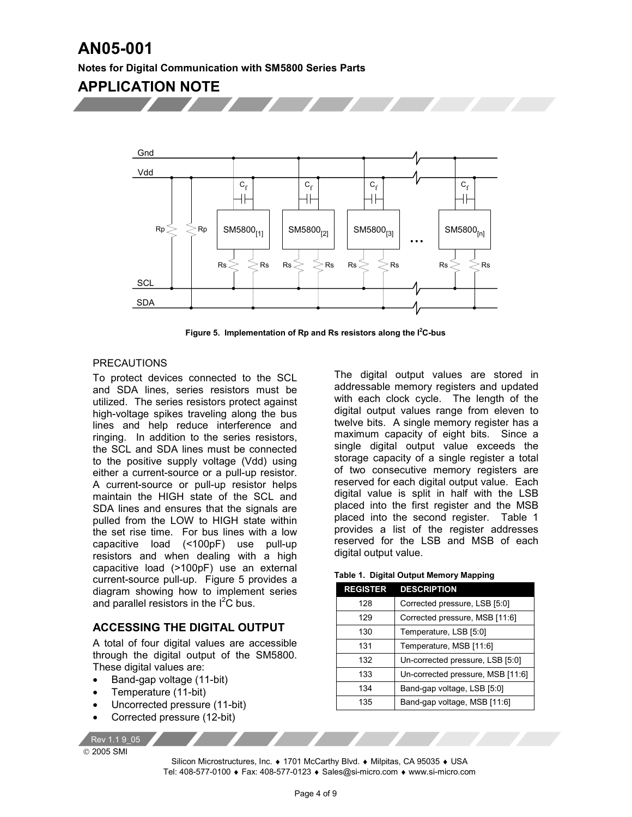#### **Notes for Digital Communication with SM5800 Series Parts**

## **APPLICATION NOTE**



Figure 5. Implementation of Rp and Rs resistors along the I<sup>2</sup>C-bus

#### PRECAUTIONS

To protect devices connected to the SCL and SDA lines, series resistors must be utilized. The series resistors protect against high-voltage spikes traveling along the bus lines and help reduce interference and ringing. In addition to the series resistors, the SCL and SDA lines must be connected to the positive supply voltage (Vdd) using either a current-source or a pull-up resistor. A current-source or pull-up resistor helps maintain the HIGH state of the SCL and SDA lines and ensures that the signals are pulled from the LOW to HIGH state within the set rise time. For bus lines with a low capacitive load (<100pF) use pull-up resistors and when dealing with a high capacitive load (>100pF) use an external current-source pull-up. Figure 5 provides a diagram showing how to implement series and parallel resistors in the  $I^2$ C bus.

#### **ACCESSING THE DIGITAL OUTPUT**

A total of four digital values are accessible through the digital output of the SM5800. These digital values are:

- Band-gap voltage (11-bit)
- Temperature (11-bit)
- Uncorrected pressure (11-bit)
- Corrected pressure (12-bit)

Rev 1.1 9\_05

2005 SMI

The digital output values are stored in addressable memory registers and updated with each clock cycle. The length of the digital output values range from eleven to twelve bits. A single memory register has a maximum capacity of eight bits. Since a single digital output value exceeds the storage capacity of a single register a total of two consecutive memory registers are reserved for each digital output value. Each digital value is split in half with the LSB placed into the first register and the MSB placed into the second register. Table 1 provides a list of the register addresses reserved for the LSB and MSB of each digital output value.

**Table 1. Digital Output Memory Mapping** 

| <b>REGISTER</b> | <b>DESCRIPTION</b>                |
|-----------------|-----------------------------------|
| 128             | Corrected pressure, LSB [5:0]     |
| 129             | Corrected pressure, MSB [11:6]    |
| 130             | Temperature, LSB [5:0]            |
| 131             | Temperature, MSB [11:6]           |
| 132             | Un-corrected pressure, LSB [5:0]  |
| 133             | Un-corrected pressure, MSB [11:6] |
| 134             | Band-gap voltage, LSB [5:0]       |
| 135             | Band-gap voltage, MSB [11:6]      |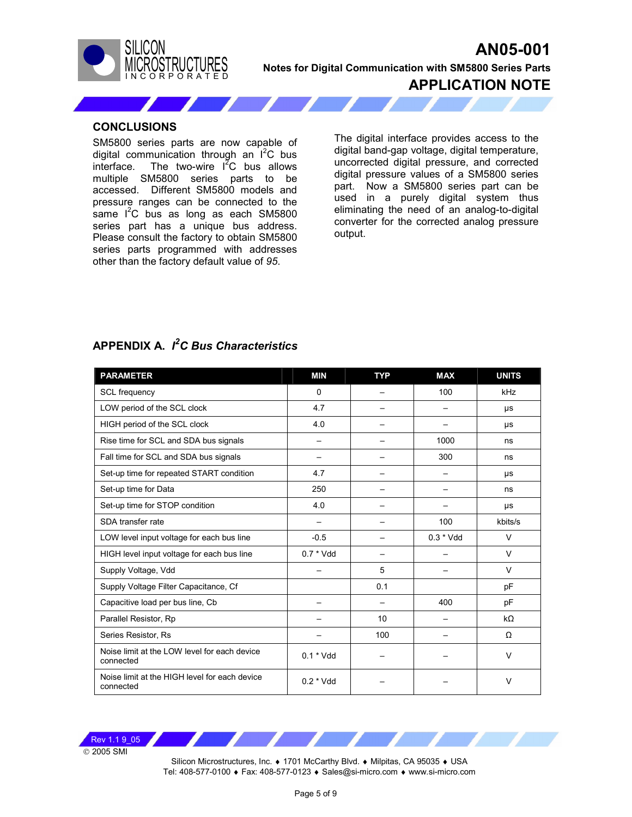



**Notes for Digital Communication with SM5800 Series Parts**

**APPLICATION NOTE**

#### **CONCLUSIONS**

SM5800 series parts are now capable of digital communication through an I<sup>2</sup>C bus interface. The two-wire  $I^{2}C$  bus allows multiple SM5800 series parts to be accessed. Different SM5800 models and pressure ranges can be connected to the same  $I^2C$  bus as long as each SM5800 series part has a unique bus address. Please consult the factory to obtain SM5800 series parts programmed with addresses other than the factory default value of *95*.

The digital interface provides access to the digital band-gap voltage, digital temperature, uncorrected digital pressure, and corrected digital pressure values of a SM5800 series part. Now a SM5800 series part can be used in a purely digital system thus eliminating the need of an analog-to-digital converter for the corrected analog pressure output.

### **APPENDIX A.** *I 2 C Bus Characteristics*

| <b>PARAMETER</b>                                           | <b>MIN</b>  | <b>TYP</b> | <b>MAX</b>               | <b>UNITS</b> |
|------------------------------------------------------------|-------------|------------|--------------------------|--------------|
| <b>SCL</b> frequency                                       | $\Omega$    |            | 100                      | kHz          |
| LOW period of the SCL clock                                | 4.7         |            |                          | μs           |
| HIGH period of the SCL clock                               | 4.0         |            |                          | μs           |
| Rise time for SCL and SDA bus signals                      |             |            | 1000                     | ns           |
| Fall time for SCL and SDA bus signals                      |             |            | 300                      | ns           |
| Set-up time for repeated START condition                   | 4.7         |            | $\overline{\phantom{0}}$ | μs           |
| Set-up time for Data                                       | 250         |            |                          | ns           |
| Set-up time for STOP condition                             | 4.0         |            |                          | μs           |
| SDA transfer rate                                          |             |            | 100                      | kbits/s      |
| LOW level input voltage for each bus line                  | $-0.5$      |            | $0.3 * Vdd$              | $\vee$       |
| HIGH level input voltage for each bus line                 | $0.7 * Vdd$ |            |                          | $\vee$       |
| Supply Voltage, Vdd                                        |             | 5          |                          | $\vee$       |
| Supply Voltage Filter Capacitance, Cf                      |             | 0.1        |                          | pF           |
| Capacitive load per bus line, Cb                           |             |            | 400                      | pF           |
| Parallel Resistor, Rp                                      |             | 10         |                          | $k\Omega$    |
| Series Resistor, Rs                                        |             | 100        |                          | Ω            |
| Noise limit at the LOW level for each device<br>connected  | $0.1 * Vdd$ |            |                          | V            |
| Noise limit at the HIGH level for each device<br>connected | $0.2 * Vdd$ |            |                          | V            |

© 2005 SMI Rev 1.1 9 05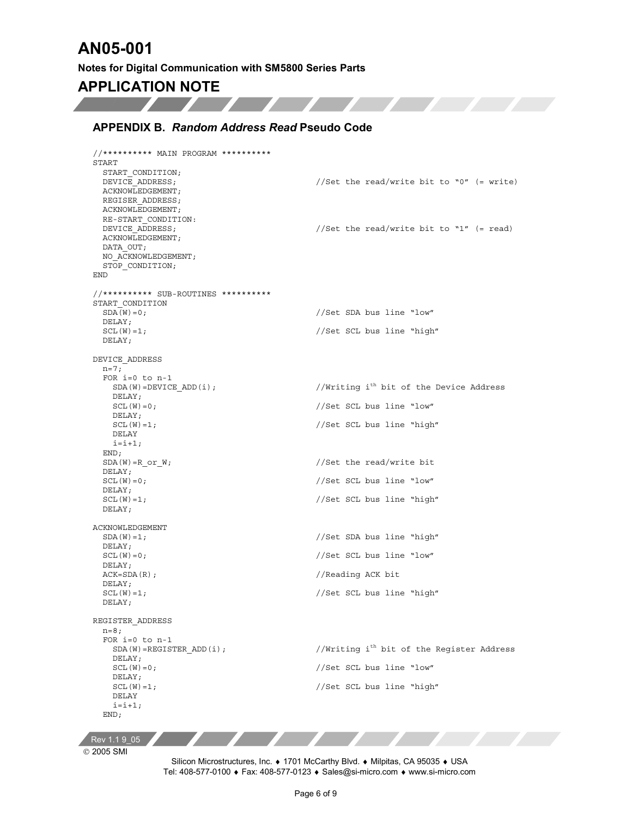**Service** 

### **APPLICATION NOTE**  $\boldsymbol{J}$

<u>and the second property of the second property of the second property of the second property of the second property of the second property of the second property of the second property of the second property of the second</u>

#### **APPENDIX B.** *Random Address Read* **Pseudo Code**

```
//********** MAIN PROGRAM ********** 
START 
  START_CONDITION; 
 DEVICE ADDRESS; \frac{1}{100} //Set the read/write bit to "0" (= write)
  ACKNOWLEDGEMENT; 
  REGISER_ADDRESS; 
  ACKNOWLEDGEMENT; 
  RE-START_CONDITION: 
 DEVICE ADDRESS; //Set the read/write bit to "1" (= read)
  ACKNOWLEDGEMENT; 
 DATA OUT;
  NO_ACKNOWLEDGEMENT; 
 STOP_CONDITION;
END 
//********** SUB-ROUTINES ********** 
START_CONDITION 
 SDA(W) = 0; //Set SDA bus line "low"
  DELAY; 
 SCL(W)=1; //Set SCL bus line "high"
  DELAY; 
DEVICE_ADDRESS 
 n=7; FOR i=0 to n-1 
   SDA(W) = DEVICE ADD(i); //Writing i<sup>th</sup> bit of the Device Address
    DELAY; 
   SCL(W) = 0; //Set \, SCL \, bus \, line \, "low"DELAY;<br>SCL(W) = 1;//Set SCL bus line "high"
    DELAY 
   i=i+1; END; 
 SDA(W) = R_0r_W; //Set the read/write bit
  DELAY; 
 SCL(W) = 0; //Set \, SCL \, bus \, line \, "low" DELAY; 
  SCL(W)=1; //Set SCL bus line "high" 
  DELAY; 
ACKNOWLEDGEMENT 
 SDA(W) = 1; //Set SDA bus line "high"DELAY;<br>SCL(W) = 0;//Set SCL bus line "low"
  DELAY; 
 ACK=SDA(R); //Reading ACK bit DELAY; 
  SCL(W)=1; //Set SCL bus line "high" 
  DELAY; 
REGISTER_ADDRESS 
 n=8;FOR i=0 to n-1<br>SDA(W)=REGISTER ADD(i);
                                       //Writing i<sup>th</sup> bit of the Register Address
   DELAY;<br>SCL(W) = 0;//Set SCL bus line "low"
    DELAY; 
   SCL(W) = 1; //Set \, SCL \, bus \, line \, "high" DELAY 
   i=i+1; END;
```
Rev 1.1 9\_05

2005 SMI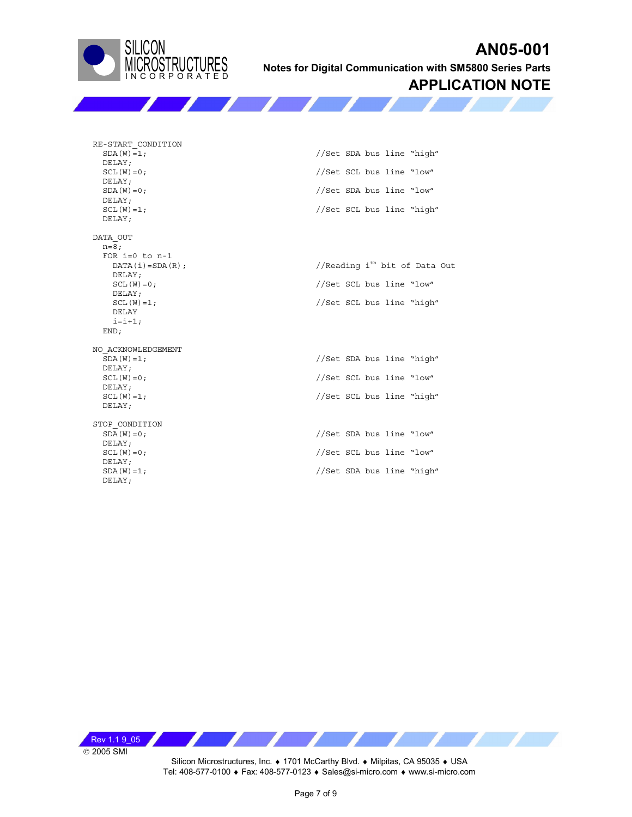

**Notes for Digital Communication with SM5800 Series Parts**

### **APPLICATION NOTE**

 $RE-STATE\_COMDITION$ <br> $SDA(W) = 1;$  DELAY; DELAY;  $\begin{array}{l} \mathtt{DELAY;}\\ \mathtt{SCL(W)=1;} \end{array}$ DELAY;

DATA\_OUT n=8; FOR  $i=0$  to  $n-1$ <br>DATA( $i$ ) = SDA(R); DELAY; DELAY; DELAY  $i=i+1;$  END; NO\_ACKNOWLEDGEMENT

 DELAY; DELAY; DELAY;  $STOP\_COMDITION  
SDA(W) = 0;$ DELAY;<br>SCL $(W) = 0;$ 

DELAY;<br>SDA(W)=1; DELAY;

//Set SDA bus line "high"  $SCL(W) = 0$ ;  $//Set \, SL \, bus \, line \, "low"$  $SDA(W) = 0$ ;  $//Set SDA bus line "low"$ //Set SCL bus line "high"

//Reading i<sup>th</sup> bit of Data Out  $SCL(W) = 0$ ;  $//Set$   $SCL$  bus line "low"  $SCL(W) = 1$ ;  $//Set \, SCL \, bus \, line \, "high"$ 

 SDA(W)=1; //Set SDA bus line "high"  $SCL(W) = 0$ ;  $//Set \, SL \, blue \, line \, "low"$ SCL(W)=1; //Set SCL bus line "high"

> //Set SDA bus line "low" //Set SCL bus line "low" //Set SDA bus line "high"

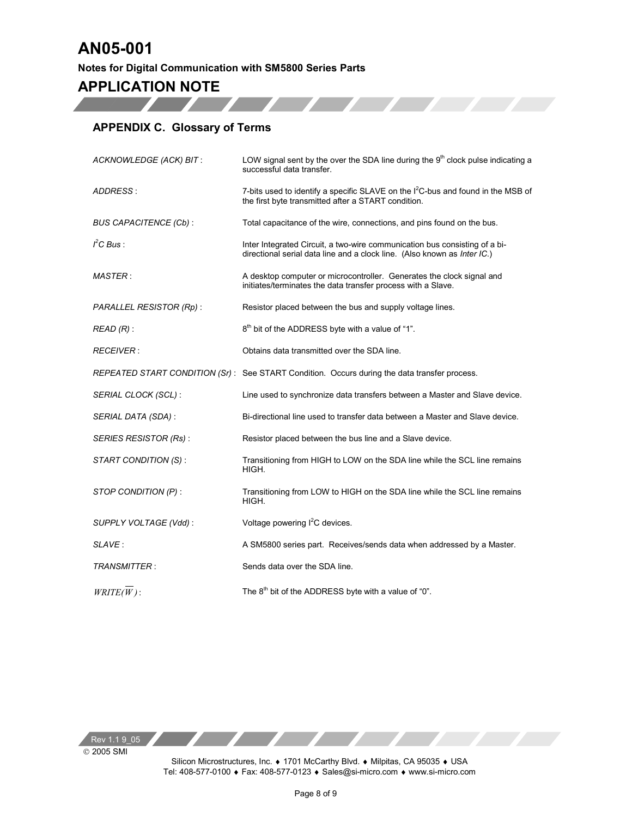**Notes for Digital Communication with SM5800 Series Parts** 

## **APPLICATION NOTE**

### **APPENDIX C. Glossary of Terms**

| ACKNOWLEDGE (ACK) BIT:       | LOW signal sent by the over the SDA line during the $9th$ clock pulse indicating a<br>successful data transfer.                                        |
|------------------------------|--------------------------------------------------------------------------------------------------------------------------------------------------------|
| ADDRESS:                     | 7-bits used to identify a specific SLAVE on the $I^2C$ -bus and found in the MSB of<br>the first byte transmitted after a START condition.             |
| <b>BUS CAPACITENCE (Cb):</b> | Total capacitance of the wire, connections, and pins found on the bus.                                                                                 |
| $I2C$ Bus:                   | Inter Integrated Circuit, a two-wire communication bus consisting of a bi-<br>directional serial data line and a clock line. (Also known as Inter IC.) |
| <b>MASTER:</b>               | A desktop computer or microcontroller. Generates the clock signal and<br>initiates/terminates the data transfer process with a Slave.                  |
| PARALLEL RESISTOR (Rp):      | Resistor placed between the bus and supply voltage lines.                                                                                              |
| $READ(R)$ :                  | 8 <sup>th</sup> bit of the ADDRESS byte with a value of "1".                                                                                           |
| <b>RECEIVER:</b>             | Obtains data transmitted over the SDA line.                                                                                                            |
|                              | REPEATED START CONDITION (Sr): See START Condition. Occurs during the data transfer process.                                                           |
| SERIAL CLOCK (SCL):          | Line used to synchronize data transfers between a Master and Slave device.                                                                             |
| SERIAL DATA (SDA):           | Bi-directional line used to transfer data between a Master and Slave device.                                                                           |
| <b>SERIES RESISTOR (Rs):</b> | Resistor placed between the bus line and a Slave device.                                                                                               |
| START CONDITION (S):         | Transitioning from HIGH to LOW on the SDA line while the SCL line remains<br>HIGH.                                                                     |
| STOP CONDITION (P):          | Transitioning from LOW to HIGH on the SDA line while the SCL line remains<br>HIGH.                                                                     |
| SUPPLY VOLTAGE (Vdd):        | Voltage powering l <sup>2</sup> C devices.                                                                                                             |
| SLAVE:                       | A SM5800 series part. Receives/sends data when addressed by a Master.                                                                                  |
| <b>TRANSMITTER:</b>          | Sends data over the SDA line.                                                                                                                          |
| $WRITE(W)$ :                 | The $8th$ bit of the ADDRESS byte with a value of "0".                                                                                                 |

© 2005 SMI Rev 1.1 9\_05 Z

Z

Z,

Silicon Microstructures, Inc. ♦ 1701 McCarthy Blvd. ♦ Milpitas, CA 95035 ♦ USA Tel: 408-577-0100 ♦ Fax: 408-577-0123 ♦ Sales@si-micro.com ♦ www.si-micro.com

ZZ.